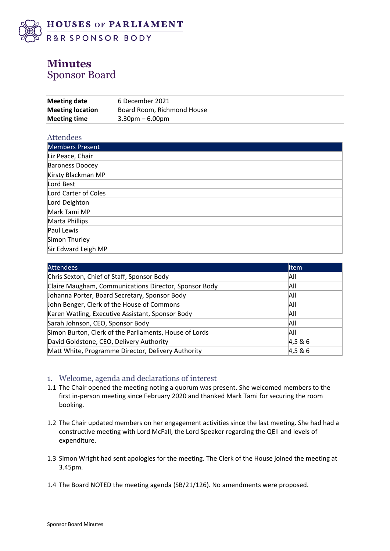

# **Minutes** Sponsor Board

| <b>Meeting date</b>     | 6 December 2021            |
|-------------------------|----------------------------|
| <b>Meeting location</b> | Board Room, Richmond House |
| <b>Meeting time</b>     | $3.30pm - 6.00pm$          |

| Attendees              |
|------------------------|
| <b>Members Present</b> |
| Liz Peace, Chair       |
| <b>Baroness Doocey</b> |
| Kirsty Blackman MP     |
| Lord Best              |
| Lord Carter of Coles   |
| Lord Deighton          |
| Mark Tami MP           |
| Marta Phillips         |
| Paul Lewis             |
| Simon Thurley          |
| Sir Edward Leigh MP    |

| <b>Attendees</b>                                       | <b>I</b> tem |
|--------------------------------------------------------|--------------|
| Chris Sexton, Chief of Staff, Sponsor Body             | All          |
| Claire Maugham, Communications Director, Sponsor Body  | All          |
| Johanna Porter, Board Secretary, Sponsor Body          | All          |
| John Benger, Clerk of the House of Commons             | All          |
| Karen Watling, Executive Assistant, Sponsor Body       | All          |
| Sarah Johnson, CEO, Sponsor Body                       | All          |
| Simon Burton, Clerk of the Parliaments, House of Lords | All          |
| David Goldstone, CEO, Delivery Authority               | 4,5 & 6      |
| Matt White, Programme Director, Delivery Authority     | 4,5 & 6      |

### 1. Welcome, agenda and declarations of interest

- 1.1 The Chair opened the meeting noting a quorum was present. She welcomed members to the first in-person meeting since February 2020 and thanked Mark Tami for securing the room booking.
- 1.2 The Chair updated members on her engagement activities since the last meeting. She had had a constructive meeting with Lord McFall, the Lord Speaker regarding the QEII and levels of expenditure.
- 1.3 Simon Wright had sent apologies for the meeting. The Clerk of the House joined the meeting at 3.45pm.
- 1.4 The Board NOTED the meeting agenda (SB/21/126). No amendments were proposed.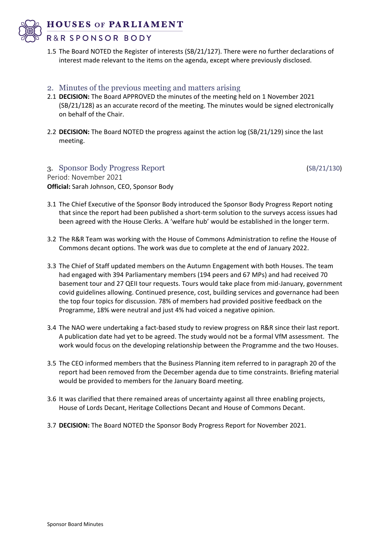**HOUSES OF PARLIAMENT** 



- R&R SPONSOR BODY
- 1.5 The Board NOTED the Register of interests (SB/21/127). There were no further declarations of interest made relevant to the items on the agenda, except where previously disclosed.
- 2. Minutes of the previous meeting and matters arising
- 2.1 **DECISION:** The Board APPROVED the minutes of the meeting held on 1 November 2021 (SB/21/128) as an accurate record of the meeting. The minutes would be signed electronically on behalf of the Chair.
- 2.2 **DECISION:** The Board NOTED the progress against the action log (SB/21/129) since the last meeting.

3. Sponsor Body Progress Report (SB/21/130) Period: November 2021 **Official:** Sarah Johnson, CEO, Sponsor Body

- 3.1 The Chief Executive of the Sponsor Body introduced the Sponsor Body Progress Report noting that since the report had been published a short-term solution to the surveys access issues had been agreed with the House Clerks. A 'welfare hub' would be established in the longer term.
- 3.2 The R&R Team was working with the House of Commons Administration to refine the House of Commons decant options. The work was due to complete at the end of January 2022.
- 3.3 The Chief of Staff updated members on the Autumn Engagement with both Houses. The team had engaged with 394 Parliamentary members (194 peers and 67 MPs) and had received 70 basement tour and 27 QEII tour requests. Tours would take place from mid-January, government covid guidelines allowing. Continued presence, cost, building services and governance had been the top four topics for discussion. 78% of members had provided positive feedback on the Programme, 18% were neutral and just 4% had voiced a negative opinion.
- 3.4 The NAO were undertaking a fact-based study to review progress on R&R since their last report. A publication date had yet to be agreed. The study would not be a formal VfM assessment. The work would focus on the developing relationship between the Programme and the two Houses.
- 3.5 The CEO informed members that the Business Planning item referred to in paragraph 20 of the report had been removed from the December agenda due to time constraints. Briefing material would be provided to members for the January Board meeting.
- 3.6 It was clarified that there remained areas of uncertainty against all three enabling projects, House of Lords Decant, Heritage Collections Decant and House of Commons Decant.
- 3.7 **DECISION:** The Board NOTED the Sponsor Body Progress Report for November 2021.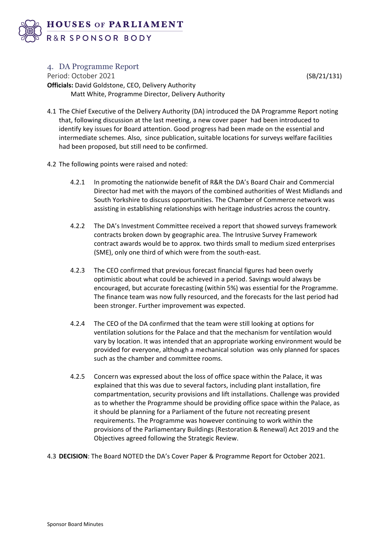

### 4. DA Programme Report

Period: October 2021 (SB/21/131) **Officials:** David Goldstone, CEO, Delivery Authority Matt White, Programme Director, Delivery Authority

- 4.1 The Chief Executive of the Delivery Authority (DA) introduced the DA Programme Report noting that, following discussion at the last meeting, a new cover paper had been introduced to identify key issues for Board attention. Good progress had been made on the essential and intermediate schemes. Also, since publication, suitable locations for surveys welfare facilities had been proposed, but still need to be confirmed.
- 4.2 The following points were raised and noted:
	- 4.2.1 In promoting the nationwide benefit of R&R the DA's Board Chair and Commercial Director had met with the mayors of the combined authorities of West Midlands and South Yorkshire to discuss opportunities. The Chamber of Commerce network was assisting in establishing relationships with heritage industries across the country.
	- 4.2.2 The DA's Investment Committee received a report that showed surveys framework contracts broken down by geographic area. The Intrusive Survey Framework contract awards would be to approx. two thirds small to medium sized enterprises (SME), only one third of which were from the south-east.
	- 4.2.3 The CEO confirmed that previous forecast financial figures had been overly optimistic about what could be achieved in a period. Savings would always be encouraged, but accurate forecasting (within 5%) was essential for the Programme. The finance team was now fully resourced, and the forecasts for the last period had been stronger. Further improvement was expected.
	- 4.2.4 The CEO of the DA confirmed that the team were still looking at options for ventilation solutions for the Palace and that the mechanism for ventilation would vary by location. It was intended that an appropriate working environment would be provided for everyone, although a mechanical solution was only planned for spaces such as the chamber and committee rooms.
	- 4.2.5 Concern was expressed about the loss of office space within the Palace, it was explained that this was due to several factors, including plant installation, fire compartmentation, security provisions and lift installations. Challenge was provided as to whether the Programme should be providing office space within the Palace, as it should be planning for a Parliament of the future not recreating present requirements. The Programme was however continuing to work within the provisions of the Parliamentary Buildings (Restoration & Renewal) Act 2019 and the Objectives agreed following the Strategic Review.
- 4.3 **DECISION**: The Board NOTED the DA's Cover Paper & Programme Report for October 2021.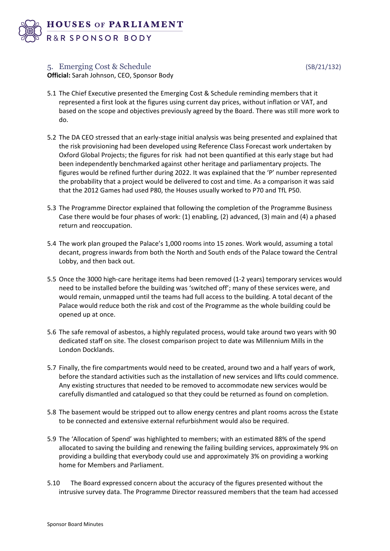

## 5. Emerging Cost & Schedule (SB/21/132)

**Official:** Sarah Johnson, CEO, Sponsor Body

- 5.1 The Chief Executive presented the Emerging Cost & Schedule reminding members that it represented a first look at the figures using current day prices, without inflation or VAT, and based on the scope and objectives previously agreed by the Board. There was still more work to do.
- 5.2 The DA CEO stressed that an early-stage initial analysis was being presented and explained that the risk provisioning had been developed using Reference Class Forecast work undertaken by Oxford Global Projects; the figures for risk had not been quantified at this early stage but had been independently benchmarked against other heritage and parliamentary projects. The figures would be refined further during 2022. It was explained that the 'P' number represented the probability that a project would be delivered to cost and time. As a comparison it was said that the 2012 Games had used P80, the Houses usually worked to P70 and TfL P50.
- 5.3 The Programme Director explained that following the completion of the Programme Business Case there would be four phases of work: (1) enabling, (2) advanced, (3) main and (4) a phased return and reoccupation.
- 5.4 The work plan grouped the Palace's 1,000 rooms into 15 zones. Work would, assuming a total decant, progress inwards from both the North and South ends of the Palace toward the Central Lobby, and then back out.
- 5.5 Once the 3000 high-care heritage items had been removed (1-2 years) temporary services would need to be installed before the building was 'switched off'; many of these services were, and would remain, unmapped until the teams had full access to the building. A total decant of the Palace would reduce both the risk and cost of the Programme as the whole building could be opened up at once.
- 5.6 The safe removal of asbestos, a highly regulated process, would take around two years with 90 dedicated staff on site. The closest comparison project to date was Millennium Mills in the London Docklands.
- 5.7 Finally, the fire compartments would need to be created, around two and a half years of work, before the standard activities such as the installation of new services and lifts could commence. Any existing structures that needed to be removed to accommodate new services would be carefully dismantled and catalogued so that they could be returned as found on completion.
- 5.8 The basement would be stripped out to allow energy centres and plant rooms across the Estate to be connected and extensive external refurbishment would also be required.
- 5.9 The 'Allocation of Spend' was highlighted to members; with an estimated 88% of the spend allocated to saving the building and renewing the failing building services, approximately 9% on providing a building that everybody could use and approximately 3% on providing a working home for Members and Parliament.
- 5.10 The Board expressed concern about the accuracy of the figures presented without the intrusive survey data. The Programme Director reassured members that the team had accessed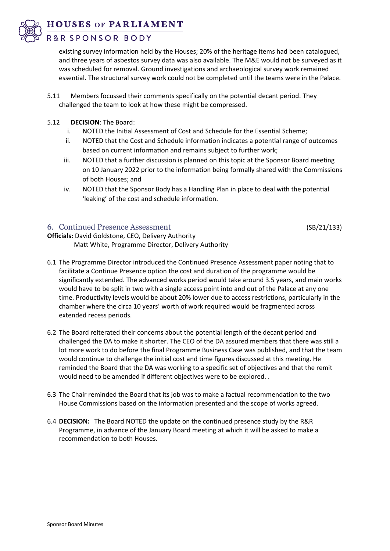**HOUSES OF PARLIAMENT** 

## R&R SPONSOR BODY

existing survey information held by the Houses; 20% of the heritage items had been catalogued, and three years of asbestos survey data was also available. The M&E would not be surveyed as it was scheduled for removal. Ground investigations and archaeological survey work remained essential. The structural survey work could not be completed until the teams were in the Palace.

- 5.11 Members focussed their comments specifically on the potential decant period. They challenged the team to look at how these might be compressed.
- 5.12 **DECISION**: The Board:
	- i. NOTED the Initial Assessment of Cost and Schedule for the Essential Scheme;
	- ii. NOTED that the Cost and Schedule information indicates a potential range of outcomes based on current information and remains subject to further work;
	- iii. NOTED that a further discussion is planned on this topic at the Sponsor Board meeting on 10 January 2022 prior to the information being formally shared with the Commissions of both Houses; and
	- iv. NOTED that the Sponsor Body has a Handling Plan in place to deal with the potential 'leaking' of the cost and schedule information.

## 6. Continued Presence Assessment (SB/21/133)

**Officials:** David Goldstone, CEO, Delivery Authority Matt White, Programme Director, Delivery Authority

- 6.1 The Programme Director introduced the Continued Presence Assessment paper noting that to facilitate a Continue Presence option the cost and duration of the programme would be significantly extended. The advanced works period would take around 3.5 years, and main works would have to be split in two with a single access point into and out of the Palace at any one time. Productivity levels would be about 20% lower due to access restrictions, particularly in the chamber where the circa 10 years' worth of work required would be fragmented across extended recess periods.
- 6.2 The Board reiterated their concerns about the potential length of the decant period and challenged the DA to make it shorter. The CEO of the DA assured members that there was still a lot more work to do before the final Programme Business Case was published, and that the team would continue to challenge the initial cost and time figures discussed at this meeting. He reminded the Board that the DA was working to a specific set of objectives and that the remit would need to be amended if different objectives were to be explored. .
- 6.3 The Chair reminded the Board that its job was to make a factual recommendation to the two House Commissions based on the information presented and the scope of works agreed.
- 6.4 **DECISION:** The Board NOTED the update on the continued presence study by the R&R Programme, in advance of the January Board meeting at which it will be asked to make a recommendation to both Houses.